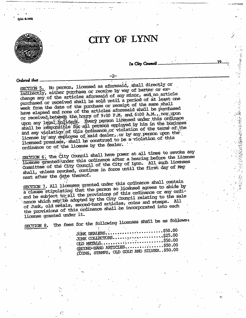

Fein K-1006

# CITY OF LYNN

In City Council.

Ordered that

SECTION 5. No person, licensed as aforesaid, shall directly or indirectly, either purchase or receive by way of barter or exchange any of the articles aforesaid of any minor, and no article purchased or received shall be sold until a period of at least one week from the date of the purchase or receipt of the same shall have elapsed and none of the articles aforesaid shall be purchased or received between the hours of 9:00 P.M. and 6:00 A.M., nor upon upon any legal, holidays. Every person licensed under this ordinace shall be responsible for all persons employed by him in the business and any violation of this prolinance or violation of the terms of the license by any employee of said dealer, or by any person upon the licensed premises, shall be construed to be a violation of this ordinance or of the license by the dealer.

-2-

SECTION 6. The City Council shall have power at all times to revoke any license granted under this ordinance after a hearing before the License Committee of the City Council of the City of Lynn. All such licenses shall, unless revoked, continue in force until the first day of May next after the date thereof.

SECTION 7. All licenses granted under this ordinance shall contain. a clause stipulating that the person so licensed agrees to abide by and be subject to all the provisions of this ordinance or any ordinance which may be adopted by the City Council relating to the sale of Junk, old metals, second-hand articles, coins and stamps. All the provisions of this ordinance shall be incorporated into each license granted under it.

SECTION 8.

The fees for the following licenses shall be as follows:

| JUNK DEALERS\$50.00                              |  |
|--------------------------------------------------|--|
| JUNK COLLECTORS\$25.00                           |  |
|                                                  |  |
| OLD METALS\$50.00<br>SECOND-HAND ARTICLES\$50.00 |  |
| COINS, STAMPS, OLD GOID AND SILVER. \$50.00      |  |
|                                                  |  |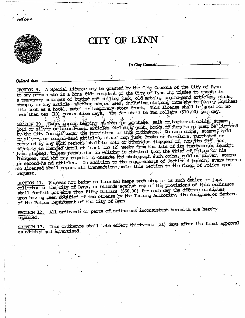

SECTION 9. A Special License may be granted by the City Council of the City of Lynn to any person who is a bona fide resident of the City of Lynn who wishes to engage in a temporary business of buying and selling junk, old metals, second-hand articles, coins, stmaps, or any article, whether new or used, including clothing from any temporary business site such as a hotel, motel or temporary store front. This license shall be good for no<br>more than ten (10) consecutive days. The fee shall be Ten Dollars (\$10.00) per day.

SECTION 10. Every person keeping a shop for purchase, sale or barter of coins, stamps, by the City Council funder the provisions of this ordinance. No such coins, stamps, gold<br>or silver, or second-hand articles, other than junk, books or furniture, purchased or recevied by any such person, shall be sold or otherwise disposed of, nor its form nor identity be changed until at least two (2) weeks from the date of its purchase or receipt: have elapsed, unless permission in writing is obtained from the Chief of Police or his Designee, and who may request to observe and photograph such coins, gold or silver, stamps or second-ha nd articles. In addition to the requirements of Section 4 herein, every person so licensed shall report all transactions under this Section to the Chief of Police upon request.

SECTION 11. Whoever not being so licensed keeps such shop or is such dealer or junk collertor in the City of Lynn, or offends against any of the provisions of this ordinance shall forfeit not more than Fifty Dollars (\$50.00) for each day the offense continues upon having been notified of the offense by the Issuing Authority, its designee or members of the Police Department of the City of Lynn.

SECTION 12. All ordinance or parts of ordinances inconsistent herewith are hereby repealed.

SECTION 13. This ordinance shall take effect thirty-one (31) days after its final approval as adopted and advertised.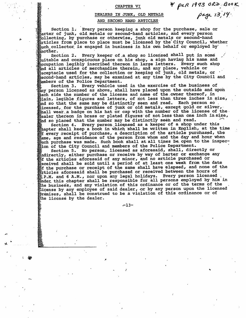#### CHAPTER VI

### DEALERS IN JUNK, OLD METALS AND SECOND HAND ARTICLES

Section 1. Every person keeping a shop for the purchase, sale or  $\delta$ arter of junk, old metals or second-hand articles, and every person collecting, by purchase or otherwise, junk old metals or second-hand<br>pricles from place to place must be licensed by the City Council, whether  $\rm _{E}^{\ast}$ uch collector is engaged in business in his own behalf or employed by another.

Every keeper of a shop so licensed shall put in some Section 2. suitable and conspicuous place on his shop, a sign having his name and coupation legibly inscribed thereon in large letters. Every such shop and all articles of merchandise therein, and any place, vehicle or  $\frac{1}{2}$ eceptacle used for the collection or keeping of junk, old metals, or second-hand articles, may be examined at any time by the City Council and **Members of the Police Department.** 

Section 3. Every vehicle used in the exercise of the business of any person licensed as above, shall have placed upon the outside and upon  $_{\tt back}$  side the number of the license and name of the owner thereof, in  $_{\rm 51ain}$ , legible figures and letters, of not less than three inches in size, and so that the same may be distinctly seen and read. Each person so. icensed, for the purchase of junk or old metals, except gold or silver, shall wear a badge on his hat or cap with the number of the license of the. Realer thereon in brass or plated figures of not less than one inch insize, and so placed that the number may be distinctly seen and read.

Section 4. Every person licensed as a keeper of a shop under this thapter shall keep a book in which shall be written in English, at the time of every receipt of purchase, a description of the article purchased, the hame, age and residence of the person from whom and the day and hour when which purchase was made. Such book shall at all times be open to the inspec-<br>tion of the City Council and members of the Police Department.

Section 5. No person, licensed as aforesaid, shall, directly or mindirectly, either purchase or receive by way of barter or exchange any Wof the articles aforesaid of any minor, and no article purchased or feceived shall be sold until a period of at least one week from the date of the purchase or receipt of the same shall have elapsed, and none of the grticles aforesaid shall be purchased or received between the hours of E.P.M. and 6 A.M., nor upon any legal holidays. Every person licensed inder this chapter shall be responsible for all persons employed by him in the business, and any violation of this ordinance or of the terms of the license by any employee of said dealer, or by any person upon the licensed<br>premises, shall be construed to be a violation of this ordinance or of the license by the dealer.